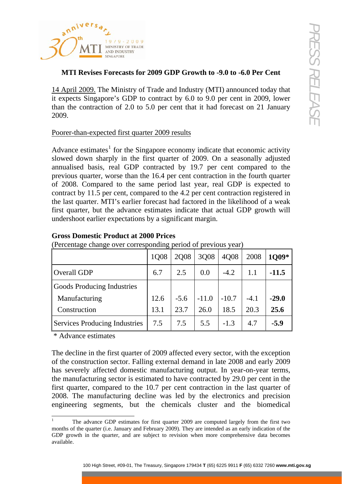

## **MTI Revises Forecasts for 2009 GDP Growth to -9.0 to -6.0 Per Cent**

## Poorer-than-expected first quarter 2009 results

| 14 April 2009. The Ministry of Trade and Industry (MTI) announced today that<br>it expects Singapore's GDP to contract by 6.0 to 9.0 per cent in 2009, lower                                                                                                                                                                                                                                                                                                                                                                                                                                                                               |      |        |         |         |        |         |
|--------------------------------------------------------------------------------------------------------------------------------------------------------------------------------------------------------------------------------------------------------------------------------------------------------------------------------------------------------------------------------------------------------------------------------------------------------------------------------------------------------------------------------------------------------------------------------------------------------------------------------------------|------|--------|---------|---------|--------|---------|
| than the contraction of 2.0 to 5.0 per cent that it had forecast on 21 January<br>2009.                                                                                                                                                                                                                                                                                                                                                                                                                                                                                                                                                    |      |        |         |         |        |         |
| Poorer-than-expected first quarter 2009 results                                                                                                                                                                                                                                                                                                                                                                                                                                                                                                                                                                                            |      |        |         |         |        |         |
| slowed down sharply in the first quarter of 2009. On a seasonally adjusted<br>annualised basis, real GDP contracted by 19.7 per cent compared to the<br>previous quarter, worse than the 16.4 per cent contraction in the fourth quarter<br>of 2008. Compared to the same period last year, real GDP is expected to<br>contract by 11.5 per cent, compared to the 4.2 per cent contraction registered in<br>the last quarter. MTI's earlier forecast had factored in the likelihood of a weak<br>first quarter, but the advance estimates indicate that actual GDP growth will<br>undershoot earlier expectations by a significant margin. |      |        |         |         |        |         |
|                                                                                                                                                                                                                                                                                                                                                                                                                                                                                                                                                                                                                                            |      |        |         |         |        |         |
| (Percentage change over corresponding period of previous year)                                                                                                                                                                                                                                                                                                                                                                                                                                                                                                                                                                             |      |        |         |         |        |         |
| <b>Gross Domestic Product at 2000 Prices</b>                                                                                                                                                                                                                                                                                                                                                                                                                                                                                                                                                                                               | 1Q08 | 2Q08   | 3Q08    | 4Q08    | 2008   | 1Q09*   |
| <b>Overall GDP</b>                                                                                                                                                                                                                                                                                                                                                                                                                                                                                                                                                                                                                         | 6.7  | 2.5    | 0.0     | $-4.2$  | 1.1    | $-11.5$ |
| <b>Goods Producing Industries</b>                                                                                                                                                                                                                                                                                                                                                                                                                                                                                                                                                                                                          |      |        |         |         |        |         |
| Manufacturing                                                                                                                                                                                                                                                                                                                                                                                                                                                                                                                                                                                                                              | 12.6 | $-5.6$ | $-11.0$ | $-10.7$ | $-4.1$ | $-29.0$ |
| Construction                                                                                                                                                                                                                                                                                                                                                                                                                                                                                                                                                                                                                               | 13.1 | 23.7   | 26.0    | 18.5    | 20.3   | 25.6    |
| <b>Services Producing Industries</b><br>* Advance estimates                                                                                                                                                                                                                                                                                                                                                                                                                                                                                                                                                                                | 7.5  | 7.5    | 5.5     | $-1.3$  | 4.7    | $-5.9$  |

## **Gross Domestic Product at 2000 Prices**

<span id="page-0-0"></span><sup>1</sup> The advance GDP estimates for first quarter 2009 are computed largely from the first two months of the quarter (i.e. January and February 2009). They are intended as an early indication of the GDP growth in the quarter, and are subject to revision when more comprehensive data becomes available.